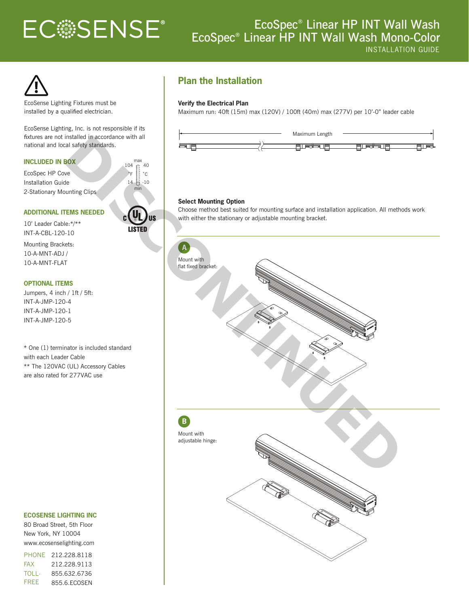# **ECSSENSE®**

# EcoSpec® Linear HP INT Wall Wash EcoSpec® Linear HP INT Wall Wash Mono-Color



EcoSense Lighting Fixtures must be installed by a qualified electrician.

EcoSense Lighting, Inc. is not responsible if its fixtures are not installed in accordance with all national and local safety standards.

#### **INCLUDED IN BOX**

EcoSpec HP Cove Installation Guide 2-Stationary Mounting Clips



max

 $40$ 

˚F ˚C

 $-10$ 

 $104$ 

14

#### **ADDITIONAL ITEMS NEEDED**

10' Leader Cable:\*/\*\* INT-A-CBL-120-10

Mounting Brackets: 10-A-MNT-ADJ / 10-A-MNT-FLAT

#### **OPTIONAL ITEMS**

Jumpers, 4 inch / 1ft / 5ft: INT-A-JMP-120-4 INT-A-JMP-120-1 INT-A-JMP-120-5

\* One (1) terminator is included standard with each Leader Cable \*\* The 120VAC (UL) Accessory Cables are also rated for 277VAC use

#### **ECOSENSE LIGHTING INC**

80 Broad Street, 5th Floor New York, NY 10004 www.ecosenselighting.com

PHONE 212.228.8118 FAX 212.228.9113 **TOLL-**FREE 855.632.6736 855.6.ECOSEN

## **Plan the Installation**

#### **Verify the Electrical Plan**

Maximum run: 40ft (15m) max (120V) / 100ft (40m) max (277V) per 10'-0" leader cable



#### **Select Mounting Option**

Choose method best suited for mounting surface and installation application. All methods work with either the stationary or adjustable mounting bracket.